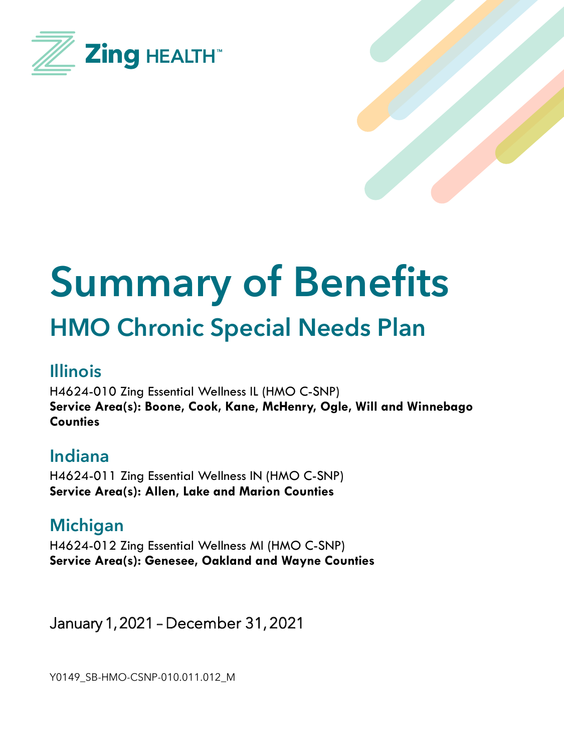



# **Summary of Benefits HMO Chronic Special Needs Plan**

#### **Illinois**

H4624-010 Zing Essential Wellness IL (HMO C-SNP) **Service Area(s): Boone, Cook, Kane, McHenry, Ogle, Will and Winnebago Counties**

#### **Indiana**

H4624-011 Zing Essential Wellness IN (HMO C-SNP) **Service Area(s): Allen, Lake and Marion Counties**

**Michigan** H4624-012 Zing Essential Wellness MI (HMO C-SNP) **Service Area(s): Genesee, Oakland and Wayne Counties**

January 1, 2021 – December 31, 2021

Y0149\_SB-HMO-CSNP-010.011.012\_M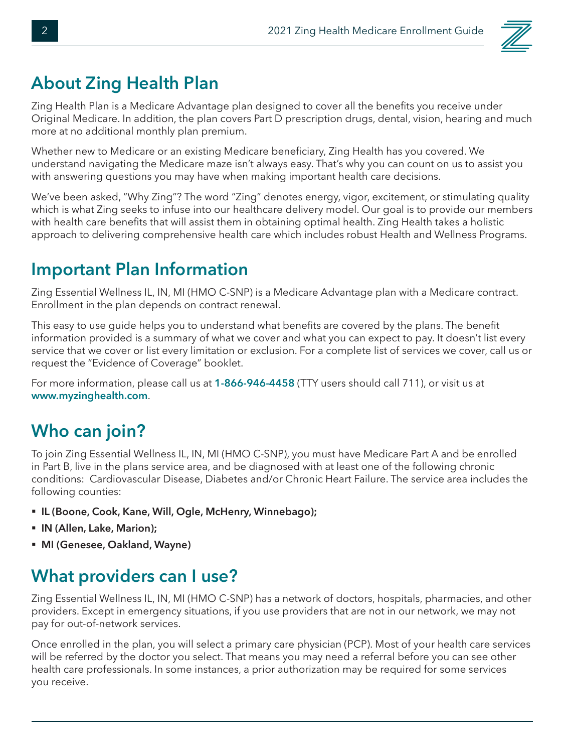

#### **About Zing Health Plan**

Zing Health Plan is a Medicare Advantage plan designed to cover all the benefits you receive under Original Medicare. In addition, the plan covers Part D prescription drugs, dental, vision, hearing and much more at no additional monthly plan premium.

Whether new to Medicare or an existing Medicare beneficiary, Zing Health has you covered. We understand navigating the Medicare maze isn't always easy. That's why you can count on us to assist you with answering questions you may have when making important health care decisions.

We've been asked, "Why Zing"? The word "Zing" denotes energy, vigor, excitement, or stimulating quality which is what Zing seeks to infuse into our healthcare delivery model. Our goal is to provide our members with health care benefits that will assist them in obtaining optimal health. Zing Health takes a holistic approach to delivering comprehensive health care which includes robust Health and Wellness Programs.

#### **Important Plan Information**

Zing Essential Wellness IL, IN, MI (HMO C-SNP) is a Medicare Advantage plan with a Medicare contract. Enrollment in the plan depends on contract renewal.

This easy to use guide helps you to understand what benefits are covered by the plans. The benefit information provided is a summary of what we cover and what you can expect to pay. It doesn't list every service that we cover or list every limitation or exclusion. For a complete list of services we cover, call us or request the "Evidence of Coverage" booklet.

For more information, please call us at **1-866-946-4458** (TTY users should call 711), or visit us at **www.myzinghealth.com**.

### **Who can join?**

To join Zing Essential Wellness IL, IN, MI (HMO C-SNP), you must have Medicare Part A and be enrolled in Part B, live in the plans service area, and be diagnosed with at least one of the following chronic conditions: Cardiovascular Disease, Diabetes and/or Chronic Heart Failure. The service area includes the following counties:

- § **IL (Boone, Cook, Kane, Will, Ogle, McHenry, Winnebago);**
- § **IN (Allen, Lake, Marion);**
- § **MI (Genesee, Oakland, Wayne)**

#### **What providers can I use?**

Zing Essential Wellness IL, IN, MI (HMO C-SNP) has a network of doctors, hospitals, pharmacies, and other providers. Except in emergency situations, if you use providers that are not in our network, we may not pay for out-of-network services.

Once enrolled in the plan, you will select a primary care physician (PCP). Most of your health care services will be referred by the doctor you select. That means you may need a referral before you can see other health care professionals. In some instances, a prior authorization may be required for some services you receive.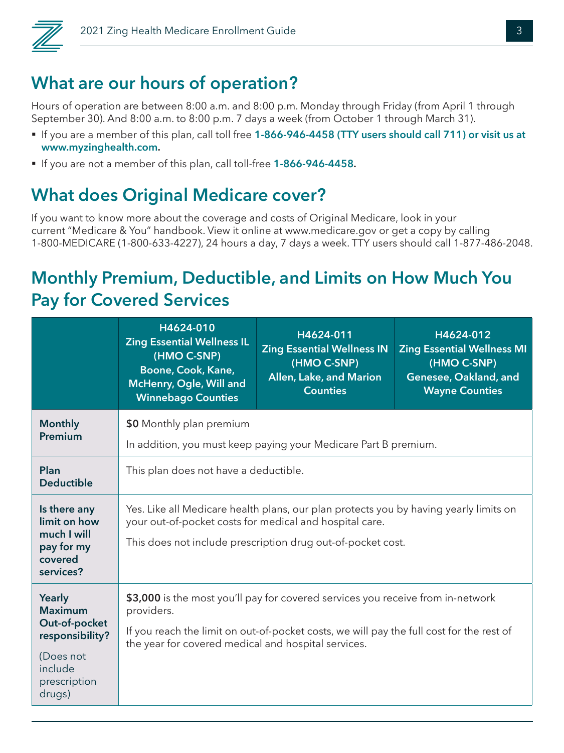

#### **What are our hours of operation?**

Hours of operation are between 8:00 a.m. and 8:00 p.m. Monday through Friday (from April 1 through September 30). And 8:00 a.m. to 8:00 p.m. 7 days a week (from October 1 through March 31).

- § If you are a member of this plan, call toll free **1-866-946-4458 (TTY users should call 711) or visit us at www.myzinghealth.com.**
- § If you are not a member of this plan, call toll-free **1-866-946-4458.**

#### **What does Original Medicare cover?**

If you want to know more about the coverage and costs of Original Medicare, look in your current "Medicare & You" handbook. View it online at www.medicare.gov or get a copy by calling 1-800-MEDICARE (1-800-633-4227), 24 hours a day, 7 days a week. TTY users should call 1-877-486-2048.

### **Monthly Premium, Deductible, and Limits on How Much You Pay for Covered Services**

|                                                                                                                | H4624-010<br><b>Zing Essential Wellness IL</b><br>(HMO C-SNP)<br>Boone, Cook, Kane,<br>McHenry, Ogle, Will and<br><b>Winnebago Counties</b>                                                                                                      | H4624-011<br><b>Zing Essential Wellness IN</b><br>(HMO C-SNP)<br>Allen, Lake, and Marion<br><b>Counties</b> | H4624-012<br><b>Zing Essential Wellness MI</b><br>(HMO C-SNP)<br>Genesee, Oakland, and<br><b>Wayne Counties</b> |  |
|----------------------------------------------------------------------------------------------------------------|--------------------------------------------------------------------------------------------------------------------------------------------------------------------------------------------------------------------------------------------------|-------------------------------------------------------------------------------------------------------------|-----------------------------------------------------------------------------------------------------------------|--|
| <b>Monthly</b><br>Premium                                                                                      | \$0 Monthly plan premium                                                                                                                                                                                                                         |                                                                                                             |                                                                                                                 |  |
|                                                                                                                |                                                                                                                                                                                                                                                  | In addition, you must keep paying your Medicare Part B premium.                                             |                                                                                                                 |  |
| Plan<br><b>Deductible</b>                                                                                      | This plan does not have a deductible.                                                                                                                                                                                                            |                                                                                                             |                                                                                                                 |  |
| Is there any<br>limit on how<br>much I will<br>pay for my<br>covered<br>services?                              | Yes. Like all Medicare health plans, our plan protects you by having yearly limits on<br>your out-of-pocket costs for medical and hospital care.<br>This does not include prescription drug out-of-pocket cost.                                  |                                                                                                             |                                                                                                                 |  |
| Yearly<br><b>Maximum</b><br>Out-of-pocket<br>responsibility?<br>(Does not<br>include<br>prescription<br>drugs) | \$3,000 is the most you'll pay for covered services you receive from in-network<br>providers.<br>If you reach the limit on out-of-pocket costs, we will pay the full cost for the rest of<br>the year for covered medical and hospital services. |                                                                                                             |                                                                                                                 |  |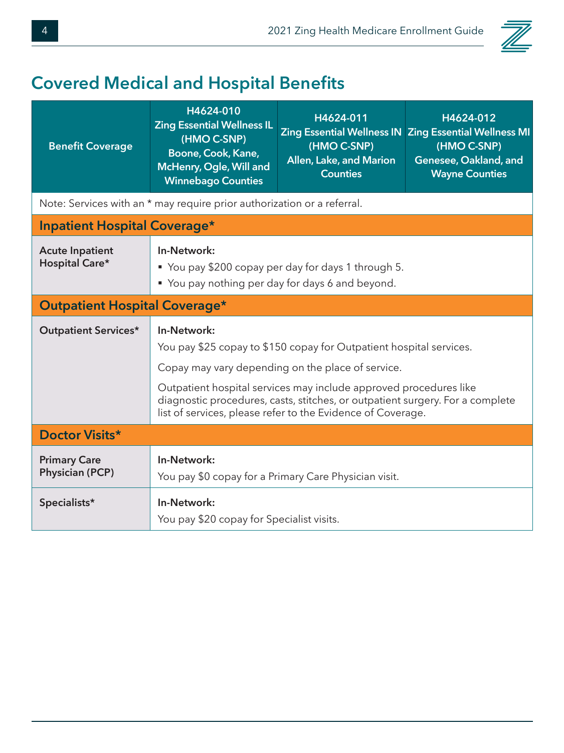

# **Covered Medical and Hospital Benefits**

| <b>Benefit Coverage</b>                       | H4624-010<br><b>Zing Essential Wellness IL</b><br>(HMO C-SNP)<br>Boone, Cook, Kane,<br>McHenry, Ogle, Will and<br><b>Winnebago Counties</b>                                                                                                                                                                                                                  | H4624-011<br>(HMO C-SNP)<br>Allen, Lake, and Marion<br><b>Counties</b> | H4624-012<br>Zing Essential Wellness IN Zing Essential Wellness MI<br>(HMO C-SNP)<br>Genesee, Oakland, and<br><b>Wayne Counties</b> |  |
|-----------------------------------------------|--------------------------------------------------------------------------------------------------------------------------------------------------------------------------------------------------------------------------------------------------------------------------------------------------------------------------------------------------------------|------------------------------------------------------------------------|-------------------------------------------------------------------------------------------------------------------------------------|--|
|                                               | Note: Services with an * may require prior authorization or a referral.                                                                                                                                                                                                                                                                                      |                                                                        |                                                                                                                                     |  |
| <b>Inpatient Hospital Coverage*</b>           |                                                                                                                                                                                                                                                                                                                                                              |                                                                        |                                                                                                                                     |  |
| <b>Acute Inpatient</b><br>Hospital Care*      | In-Network:<br>■ You pay \$200 copay per day for days 1 through 5.<br>• You pay nothing per day for days 6 and beyond.                                                                                                                                                                                                                                       |                                                                        |                                                                                                                                     |  |
| <b>Outpatient Hospital Coverage*</b>          |                                                                                                                                                                                                                                                                                                                                                              |                                                                        |                                                                                                                                     |  |
| <b>Outpatient Services*</b>                   | In-Network:<br>You pay \$25 copay to \$150 copay for Outpatient hospital services.<br>Copay may vary depending on the place of service.<br>Outpatient hospital services may include approved procedures like<br>diagnostic procedures, casts, stitches, or outpatient surgery. For a complete<br>list of services, please refer to the Evidence of Coverage. |                                                                        |                                                                                                                                     |  |
| Doctor Visits*                                |                                                                                                                                                                                                                                                                                                                                                              |                                                                        |                                                                                                                                     |  |
| <b>Primary Care</b><br><b>Physician (PCP)</b> | In-Network:<br>You pay \$0 copay for a Primary Care Physician visit.                                                                                                                                                                                                                                                                                         |                                                                        |                                                                                                                                     |  |
| Specialists*                                  | In-Network:<br>You pay \$20 copay for Specialist visits.                                                                                                                                                                                                                                                                                                     |                                                                        |                                                                                                                                     |  |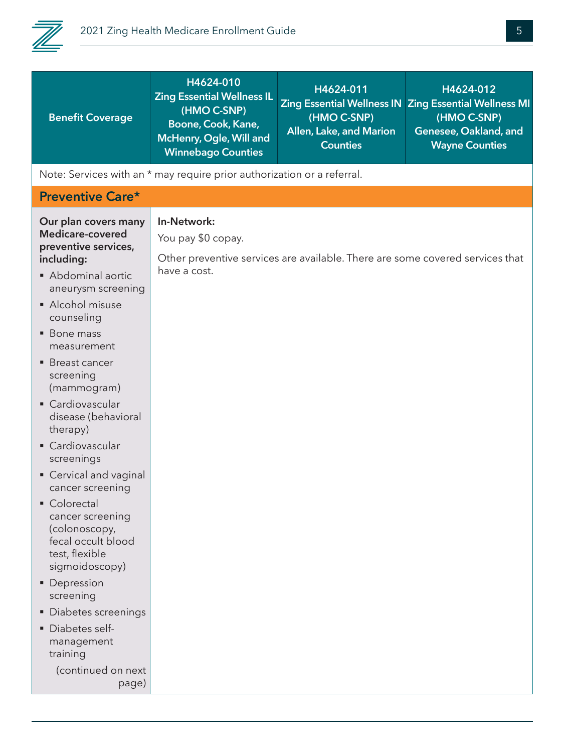

| <b>Benefit Coverage</b>                                                                                                                                                                                                                                                                                                                                                                                                                                                                                                                                                                                                        | H4624-010<br><b>Zing Essential Wellness IL</b><br>(HMO C-SNP)<br>Boone, Cook, Kane,<br>McHenry, Ogle, Will and<br><b>Winnebago Counties</b> | H4624-011<br>(HMO C-SNP)<br>Allen, Lake, and Marion<br><b>Counties</b>        | H4624-012<br>Zing Essential Wellness IN Zing Essential Wellness MI<br>(HMO C-SNP)<br>Genesee, Oakland, and<br><b>Wayne Counties</b> |
|--------------------------------------------------------------------------------------------------------------------------------------------------------------------------------------------------------------------------------------------------------------------------------------------------------------------------------------------------------------------------------------------------------------------------------------------------------------------------------------------------------------------------------------------------------------------------------------------------------------------------------|---------------------------------------------------------------------------------------------------------------------------------------------|-------------------------------------------------------------------------------|-------------------------------------------------------------------------------------------------------------------------------------|
| Note: Services with an * may require prior authorization or a referral.                                                                                                                                                                                                                                                                                                                                                                                                                                                                                                                                                        |                                                                                                                                             |                                                                               |                                                                                                                                     |
| <b>Preventive Care*</b>                                                                                                                                                                                                                                                                                                                                                                                                                                                                                                                                                                                                        |                                                                                                                                             |                                                                               |                                                                                                                                     |
| Our plan covers many<br>Medicare-covered<br>preventive services,<br>including:<br>• Abdominal aortic<br>aneurysm screening<br>• Alcohol misuse<br>counseling<br>■ Bone mass<br>measurement<br>■ Breast cancer<br>screening<br>(mammogram)<br>Cardiovascular<br>disease (behavioral<br>therapy)<br>• Cardiovascular<br>screenings<br>Cervical and vaginal<br>cancer screening<br>• Colorectal<br>cancer screening<br>(colonoscopy,<br>fecal occult blood<br>test, flexible<br>sigmoidoscopy)<br>• Depression<br>screening<br>• Diabetes screenings<br>· Diabetes self-<br>management<br>training<br>(continued on next<br>page) | In-Network:<br>You pay \$0 copay.<br>have a cost.                                                                                           | Other preventive services are available. There are some covered services that |                                                                                                                                     |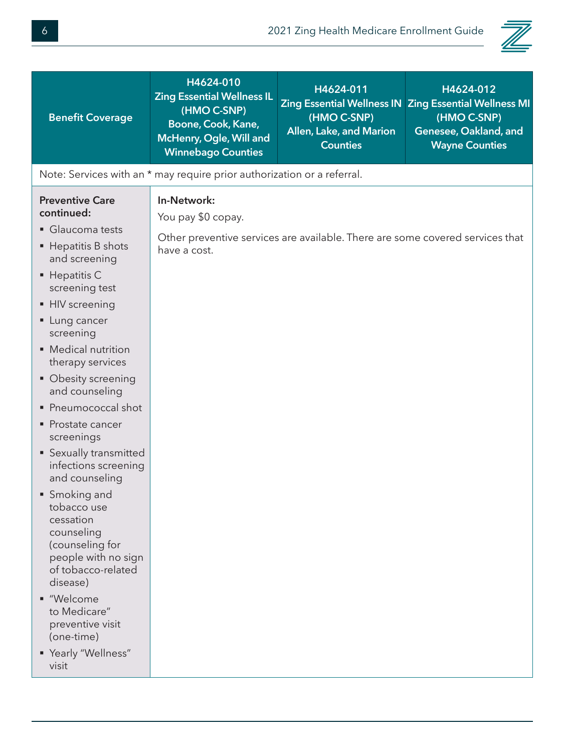

| <b>Benefit Coverage</b>                                                                                                                                                                                                                                                                                                                                                                                                                                                                                                                                                                                                                                  | H4624-010<br><b>Zing Essential Wellness IL</b><br>(HMO C-SNP)<br>Boone, Cook, Kane,<br>McHenry, Ogle, Will and<br><b>Winnebago Counties</b> | H4624-011<br>(HMO C-SNP)<br>Allen, Lake, and Marion<br><b>Counties</b>        | H4624-012<br>Zing Essential Wellness IN Zing Essential Wellness MI<br>(HMO C-SNP)<br>Genesee, Oakland, and<br><b>Wayne Counties</b> |
|----------------------------------------------------------------------------------------------------------------------------------------------------------------------------------------------------------------------------------------------------------------------------------------------------------------------------------------------------------------------------------------------------------------------------------------------------------------------------------------------------------------------------------------------------------------------------------------------------------------------------------------------------------|---------------------------------------------------------------------------------------------------------------------------------------------|-------------------------------------------------------------------------------|-------------------------------------------------------------------------------------------------------------------------------------|
|                                                                                                                                                                                                                                                                                                                                                                                                                                                                                                                                                                                                                                                          | Note: Services with an * may require prior authorization or a referral.                                                                     |                                                                               |                                                                                                                                     |
| <b>Preventive Care</b><br>continued:<br>Glaucoma tests<br>■ Hepatitis B shots<br>and screening<br>$\blacksquare$ Hepatitis C<br>screening test<br>• HIV screening<br>• Lung cancer<br>screening<br>• Medical nutrition<br>therapy services<br>• Obesity screening<br>and counseling<br>• Pneumococcal shot<br>• Prostate cancer<br>screenings<br>• Sexually transmitted<br>infections screening<br>and counseling<br>• Smoking and<br>tobacco use<br>cessation<br>counseling<br>(counseling for<br>people with no sign<br>of tobacco-related<br>disease)<br>■ "Welcome<br>to Medicare"<br>preventive visit<br>(one-time)<br>" Yearly "Wellness"<br>visit | In-Network:<br>You pay \$0 copay.<br>have a cost.                                                                                           | Other preventive services are available. There are some covered services that |                                                                                                                                     |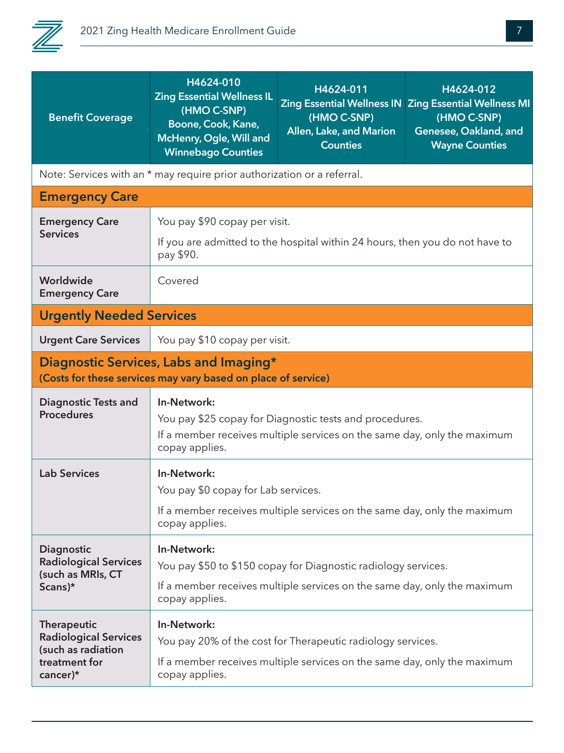

| <b>Benefit Coverage</b>                            | H4624-010<br><b>Zing Essential Wellness IL</b><br>(HMO C-SNP)<br>Boone, Cook, Kane,<br>McHenry, Ogle, Will and<br><b>Winnebago Counties</b>                          | H4624-011<br>Zing Essential Wellness IN Zing Essential Wellness MI<br>(HMO C-SNP)<br>Allen, Lake, and Marion<br><b>Counties</b> | H4624-012<br>(HMO C-SNP)<br>Genesee, Oakland, and<br><b>Wayne Counties</b> |
|----------------------------------------------------|----------------------------------------------------------------------------------------------------------------------------------------------------------------------|---------------------------------------------------------------------------------------------------------------------------------|----------------------------------------------------------------------------|
|                                                    | Note: Services with an * may require prior authorization or a referral.                                                                                              |                                                                                                                                 |                                                                            |
| <b>Emergency Care</b>                              |                                                                                                                                                                      |                                                                                                                                 |                                                                            |
| <b>Emergency Care</b>                              | You pay \$90 copay per visit.                                                                                                                                        |                                                                                                                                 |                                                                            |
| <b>Services</b>                                    | pay \$90.                                                                                                                                                            | If you are admitted to the hospital within 24 hours, then you do not have to                                                    |                                                                            |
| Worldwide<br><b>Emergency Care</b>                 | Covered                                                                                                                                                              |                                                                                                                                 |                                                                            |
| <b>Urgently Needed Services</b>                    |                                                                                                                                                                      |                                                                                                                                 |                                                                            |
| <b>Urgent Care Services</b>                        | You pay \$10 copay per visit.                                                                                                                                        |                                                                                                                                 |                                                                            |
|                                                    | Diagnostic Services, Labs and Imaging*<br>(Costs for these services may vary based on place of service)                                                              |                                                                                                                                 |                                                                            |
| <b>Diagnostic Tests and</b><br><b>Procedures</b>   | In-Network:<br>You pay \$25 copay for Diagnostic tests and procedures.<br>If a member receives multiple services on the same day, only the maximum<br>copay applies. |                                                                                                                                 |                                                                            |
| <b>Lab Services</b>                                | In-Network:<br>You pay \$0 copay for Lab services.                                                                                                                   |                                                                                                                                 |                                                                            |
|                                                    | If a member receives multiple services on the same day, only the maximum<br>copay applies.                                                                           |                                                                                                                                 |                                                                            |
| Diagnostic                                         | In-Network:                                                                                                                                                          |                                                                                                                                 |                                                                            |
| <b>Radiological Services</b><br>(such as MRIs, CT  | You pay \$50 to \$150 copay for Diagnostic radiology services.                                                                                                       |                                                                                                                                 |                                                                            |
| Scans)*                                            | If a member receives multiple services on the same day, only the maximum<br>copay applies.                                                                           |                                                                                                                                 |                                                                            |
| <b>Therapeutic</b>                                 | In-Network:                                                                                                                                                          |                                                                                                                                 |                                                                            |
| <b>Radiological Services</b><br>(such as radiation |                                                                                                                                                                      | You pay 20% of the cost for Therapeutic radiology services.                                                                     |                                                                            |
| treatment for<br>cancer $)*$                       | If a member receives multiple services on the same day, only the maximum<br>copay applies.                                                                           |                                                                                                                                 |                                                                            |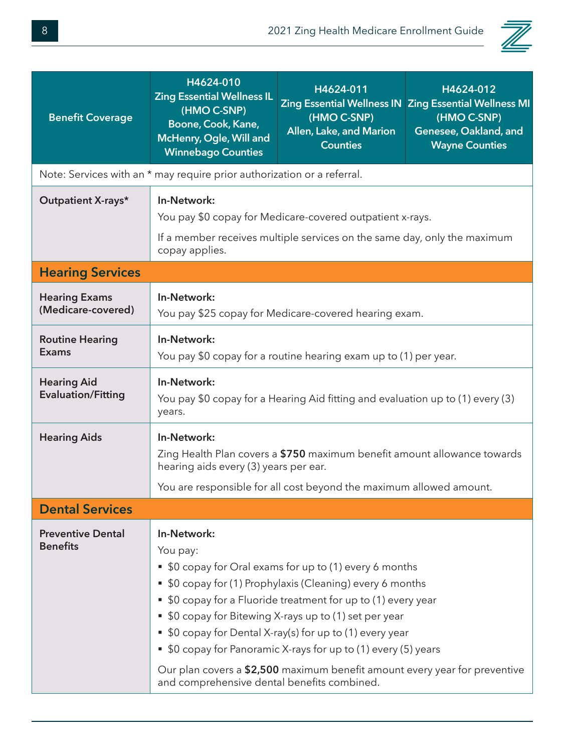

| <b>Benefit Coverage</b>                         | H4624-010<br><b>Zing Essential Wellness IL</b><br>(HMO C-SNP)<br>Boone, Cook, Kane,<br>McHenry, Ogle, Will and<br><b>Winnebago Counties</b>                                                                                                                                                                                                                                                                                                                                                                                             | H4624-011<br>(HMO C-SNP)<br>Allen, Lake, and Marion<br><b>Counties</b> | H4624-012<br>Zing Essential Wellness IN Zing Essential Wellness MI<br>(HMO C-SNP)<br>Genesee, Oakland, and<br><b>Wayne Counties</b> |  |
|-------------------------------------------------|-----------------------------------------------------------------------------------------------------------------------------------------------------------------------------------------------------------------------------------------------------------------------------------------------------------------------------------------------------------------------------------------------------------------------------------------------------------------------------------------------------------------------------------------|------------------------------------------------------------------------|-------------------------------------------------------------------------------------------------------------------------------------|--|
|                                                 | Note: Services with an * may require prior authorization or a referral.                                                                                                                                                                                                                                                                                                                                                                                                                                                                 |                                                                        |                                                                                                                                     |  |
| Outpatient X-rays*                              | In-Network:<br>You pay \$0 copay for Medicare-covered outpatient x-rays.<br>If a member receives multiple services on the same day, only the maximum<br>copay applies.                                                                                                                                                                                                                                                                                                                                                                  |                                                                        |                                                                                                                                     |  |
| <b>Hearing Services</b>                         |                                                                                                                                                                                                                                                                                                                                                                                                                                                                                                                                         |                                                                        |                                                                                                                                     |  |
| <b>Hearing Exams</b><br>(Medicare-covered)      | In-Network:                                                                                                                                                                                                                                                                                                                                                                                                                                                                                                                             | You pay \$25 copay for Medicare-covered hearing exam.                  |                                                                                                                                     |  |
| <b>Routine Hearing</b><br><b>Exams</b>          | In-Network:<br>You pay \$0 copay for a routine hearing exam up to (1) per year.                                                                                                                                                                                                                                                                                                                                                                                                                                                         |                                                                        |                                                                                                                                     |  |
| <b>Hearing Aid</b><br><b>Evaluation/Fitting</b> | In-Network:<br>You pay \$0 copay for a Hearing Aid fitting and evaluation up to (1) every (3)<br>years.                                                                                                                                                                                                                                                                                                                                                                                                                                 |                                                                        |                                                                                                                                     |  |
| <b>Hearing Aids</b>                             | In-Network:<br>Zing Health Plan covers a \$750 maximum benefit amount allowance towards<br>hearing aids every (3) years per ear.<br>You are responsible for all cost beyond the maximum allowed amount.                                                                                                                                                                                                                                                                                                                                 |                                                                        |                                                                                                                                     |  |
| <b>Dental Services</b>                          |                                                                                                                                                                                                                                                                                                                                                                                                                                                                                                                                         |                                                                        |                                                                                                                                     |  |
| <b>Preventive Dental</b><br><b>Benefits</b>     | In-Network:<br>You pay:<br>• \$0 copay for Oral exams for up to (1) every 6 months<br>\$0 copay for (1) Prophylaxis (Cleaning) every 6 months<br>\$0 copay for a Fluoride treatment for up to (1) every year<br>ш<br>• \$0 copay for Bitewing X-rays up to (1) set per year<br>\$0 copay for Dental X-ray(s) for up to (1) every year<br>\$0 copay for Panoramic X-rays for up to (1) every (5) years<br>ш<br>Our plan covers a \$2,500 maximum benefit amount every year for preventive<br>and comprehensive dental benefits combined. |                                                                        |                                                                                                                                     |  |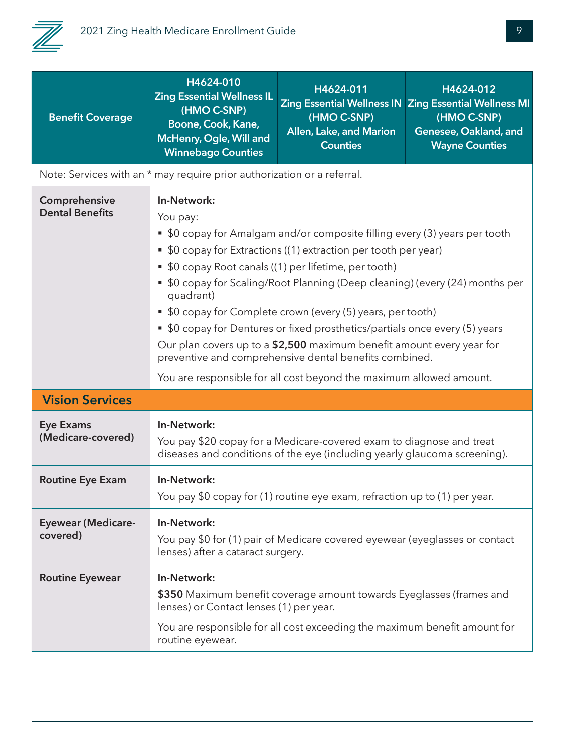

| <b>Benefit Coverage</b>                 | H4624-010<br><b>Zing Essential Wellness IL</b><br>(HMO C-SNP)<br>Boone, Cook, Kane,<br>McHenry, Ogle, Will and<br><b>Winnebago Counties</b>                                                                                                                                                                                                                                                                                                                                                                                                                                                                                                                                            | H4624-011<br>(HMO C-SNP)<br>Allen, Lake, and Marion<br><b>Counties</b>                                                                            | H4624-012<br>Zing Essential Wellness IN Zing Essential Wellness MI<br>(HMO C-SNP)<br>Genesee, Oakland, and<br><b>Wayne Counties</b> |
|-----------------------------------------|----------------------------------------------------------------------------------------------------------------------------------------------------------------------------------------------------------------------------------------------------------------------------------------------------------------------------------------------------------------------------------------------------------------------------------------------------------------------------------------------------------------------------------------------------------------------------------------------------------------------------------------------------------------------------------------|---------------------------------------------------------------------------------------------------------------------------------------------------|-------------------------------------------------------------------------------------------------------------------------------------|
|                                         | Note: Services with an * may require prior authorization or a referral.                                                                                                                                                                                                                                                                                                                                                                                                                                                                                                                                                                                                                |                                                                                                                                                   |                                                                                                                                     |
| Comprehensive<br><b>Dental Benefits</b> | In-Network:<br>You pay:<br>• \$0 copay for Amalgam and/or composite filling every (3) years per tooth<br>• \$0 copay for Extractions ((1) extraction per tooth per year)<br>• \$0 copay Root canals ((1) per lifetime, per tooth)<br>• \$0 copay for Scaling/Root Planning (Deep cleaning) (every (24) months per<br>quadrant)<br>• \$0 copay for Complete crown (every (5) years, per tooth)<br>• \$0 copay for Dentures or fixed prosthetics/partials once every (5) years<br>Our plan covers up to a \$2,500 maximum benefit amount every year for<br>preventive and comprehensive dental benefits combined.<br>You are responsible for all cost beyond the maximum allowed amount. |                                                                                                                                                   |                                                                                                                                     |
| <b>Vision Services</b>                  |                                                                                                                                                                                                                                                                                                                                                                                                                                                                                                                                                                                                                                                                                        |                                                                                                                                                   |                                                                                                                                     |
| <b>Eye Exams</b><br>(Medicare-covered)  | In-Network:<br>You pay \$20 copay for a Medicare-covered exam to diagnose and treat<br>diseases and conditions of the eye (including yearly glaucoma screening).                                                                                                                                                                                                                                                                                                                                                                                                                                                                                                                       |                                                                                                                                                   |                                                                                                                                     |
| <b>Routine Eye Exam</b>                 | In-Network:<br>You pay \$0 copay for (1) routine eye exam, refraction up to (1) per year.                                                                                                                                                                                                                                                                                                                                                                                                                                                                                                                                                                                              |                                                                                                                                                   |                                                                                                                                     |
| <b>Eyewear (Medicare-</b><br>covered)   | In-Network:<br>You pay \$0 for (1) pair of Medicare covered eyewear (eyeglasses or contact<br>lenses) after a cataract surgery.                                                                                                                                                                                                                                                                                                                                                                                                                                                                                                                                                        |                                                                                                                                                   |                                                                                                                                     |
| <b>Routine Eyewear</b>                  | In-Network:<br>lenses) or Contact lenses (1) per year.<br>routine eyewear.                                                                                                                                                                                                                                                                                                                                                                                                                                                                                                                                                                                                             | \$350 Maximum benefit coverage amount towards Eyeglasses (frames and<br>You are responsible for all cost exceeding the maximum benefit amount for |                                                                                                                                     |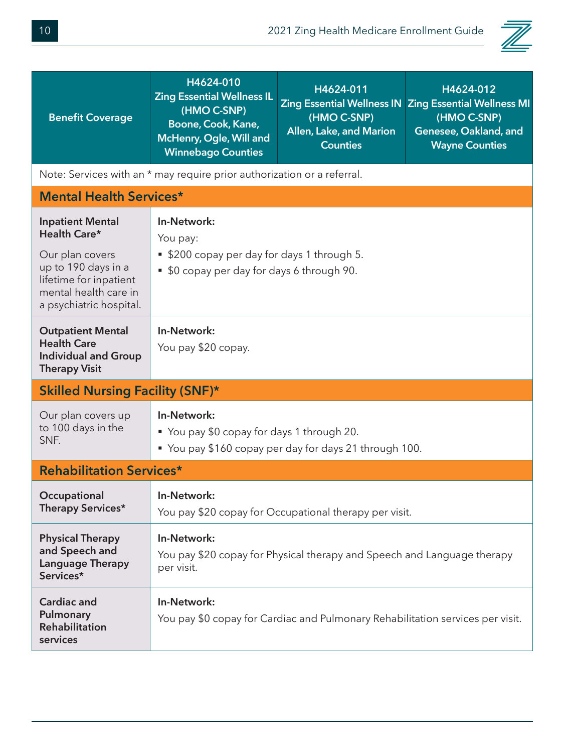

| <b>Benefit Coverage</b>                                                                                                                                         | H4624-010<br><b>Zing Essential Wellness IL</b><br>(HMO C-SNP)<br>Boone, Cook, Kane,<br>McHenry, Ogle, Will and<br><b>Winnebago Counties</b> | H4624-011<br>(HMO C-SNP)<br>Allen, Lake, and Marion<br><b>Counties</b>  | H4624-012<br>Zing Essential Wellness IN Zing Essential Wellness MI<br>(HMO C-SNP)<br>Genesee, Oakland, and<br><b>Wayne Counties</b> |  |
|-----------------------------------------------------------------------------------------------------------------------------------------------------------------|---------------------------------------------------------------------------------------------------------------------------------------------|-------------------------------------------------------------------------|-------------------------------------------------------------------------------------------------------------------------------------|--|
|                                                                                                                                                                 | Note: Services with an * may require prior authorization or a referral.                                                                     |                                                                         |                                                                                                                                     |  |
| <b>Mental Health Services*</b>                                                                                                                                  |                                                                                                                                             |                                                                         |                                                                                                                                     |  |
| <b>Inpatient Mental</b><br>Health Care*<br>Our plan covers<br>up to 190 days in a<br>lifetime for inpatient<br>mental health care in<br>a psychiatric hospital. | In-Network:<br>You pay:<br>■ \$200 copay per day for days 1 through 5.<br>• \$0 copay per day for days 6 through 90.                        |                                                                         |                                                                                                                                     |  |
| <b>Outpatient Mental</b><br><b>Health Care</b><br><b>Individual and Group</b><br><b>Therapy Visit</b>                                                           | In-Network:<br>You pay \$20 copay.                                                                                                          |                                                                         |                                                                                                                                     |  |
| <b>Skilled Nursing Facility (SNF)*</b>                                                                                                                          |                                                                                                                                             |                                                                         |                                                                                                                                     |  |
| Our plan covers up<br>to 100 days in the<br>SNF.                                                                                                                | In-Network:<br>■ You pay \$0 copay for days 1 through 20.<br>" You pay \$160 copay per day for days 21 through 100.                         |                                                                         |                                                                                                                                     |  |
| <b>Rehabilitation Services*</b>                                                                                                                                 |                                                                                                                                             |                                                                         |                                                                                                                                     |  |
| Occupational<br>Therapy Services*                                                                                                                               | In-Network:<br>You pay \$20 copay for Occupational therapy per visit.                                                                       |                                                                         |                                                                                                                                     |  |
| <b>Physical Therapy</b><br>and Speech and<br><b>Language Therapy</b><br>Services*                                                                               | In-Network:<br>per visit.                                                                                                                   | You pay \$20 copay for Physical therapy and Speech and Language therapy |                                                                                                                                     |  |
| <b>Cardiac and</b><br>Pulmonary<br><b>Rehabilitation</b><br>services                                                                                            | In-Network:<br>You pay \$0 copay for Cardiac and Pulmonary Rehabilitation services per visit.                                               |                                                                         |                                                                                                                                     |  |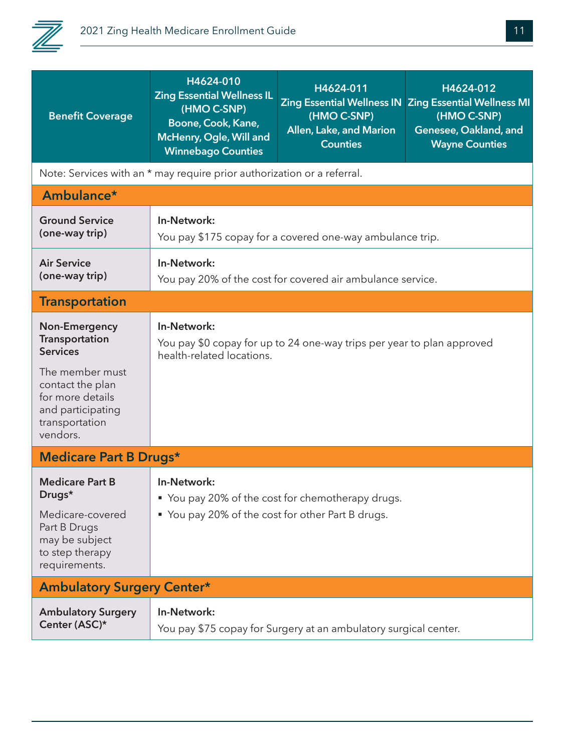

| <b>Benefit Coverage</b>                                                                                                                                                 | H4624-010<br><b>Zing Essential Wellness IL</b><br>(HMO C-SNP)<br>Boone, Cook, Kane,<br>McHenry, Ogle, Will and<br><b>Winnebago Counties</b> | H4624-011<br>(HMO C-SNP)<br>Allen, Lake, and Marion<br><b>Counties</b> | H4624-012<br>Zing Essential Wellness IN Zing Essential Wellness MI<br>(HMO C-SNP)<br>Genesee, Oakland, and<br><b>Wayne Counties</b> |
|-------------------------------------------------------------------------------------------------------------------------------------------------------------------------|---------------------------------------------------------------------------------------------------------------------------------------------|------------------------------------------------------------------------|-------------------------------------------------------------------------------------------------------------------------------------|
|                                                                                                                                                                         | Note: Services with an * may require prior authorization or a referral.                                                                     |                                                                        |                                                                                                                                     |
| Ambulance*                                                                                                                                                              |                                                                                                                                             |                                                                        |                                                                                                                                     |
| <b>Ground Service</b><br>(one-way trip)                                                                                                                                 | In-Network:                                                                                                                                 | You pay \$175 copay for a covered one-way ambulance trip.              |                                                                                                                                     |
| <b>Air Service</b><br>(one-way trip)                                                                                                                                    | In-Network:                                                                                                                                 | You pay 20% of the cost for covered air ambulance service.             |                                                                                                                                     |
| <b>Transportation</b>                                                                                                                                                   |                                                                                                                                             |                                                                        |                                                                                                                                     |
| <b>Non-Emergency</b><br>Transportation<br><b>Services</b><br>The member must<br>contact the plan<br>for more details<br>and participating<br>transportation<br>vendors. | In-Network:<br>health-related locations.                                                                                                    | You pay \$0 copay for up to 24 one-way trips per year to plan approved |                                                                                                                                     |
| <b>Medicare Part B Drugs*</b>                                                                                                                                           |                                                                                                                                             |                                                                        |                                                                                                                                     |
| <b>Medicare Part B</b><br>Drugs*<br>Medicare-covered<br>Part B Drugs<br>may be subject<br>to step therapy<br>requirements.                                              | In-Network:<br>■ You pay 20% of the cost for chemotherapy drugs.<br>■ You pay 20% of the cost for other Part B drugs.                       |                                                                        |                                                                                                                                     |
| <b>Ambulatory Surgery Center*</b>                                                                                                                                       |                                                                                                                                             |                                                                        |                                                                                                                                     |
| <b>Ambulatory Surgery</b><br>Center (ASC)*                                                                                                                              | In-Network:                                                                                                                                 | You pay \$75 copay for Surgery at an ambulatory surgical center.       |                                                                                                                                     |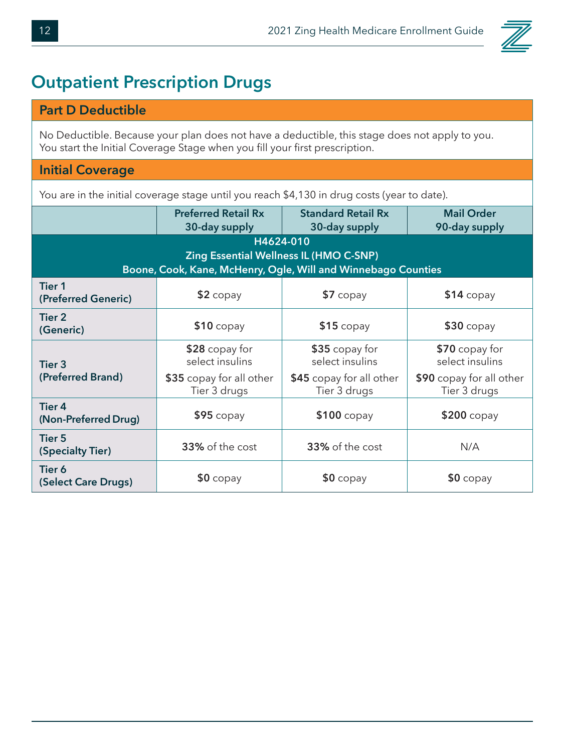

#### **Outpatient Prescription Drugs**

#### **Part D Deductible**

No Deductible. Because your plan does not have a deductible, this stage does not apply to you. You start the Initial Coverage Stage when you fill your first prescription.

#### **Initial Coverage**

You are in the initial coverage stage until you reach \$4,130 in drug costs (year to date).

|                                       | <b>Preferred Retail Rx</b><br>30-day supply                   | <b>Standard Retail Rx</b><br>30-day supply    | <b>Mail Order</b><br>90-day supply       |
|---------------------------------------|---------------------------------------------------------------|-----------------------------------------------|------------------------------------------|
|                                       |                                                               | H4624-010                                     |                                          |
|                                       |                                                               | <b>Zing Essential Wellness IL (HMO C-SNP)</b> |                                          |
|                                       | Boone, Cook, Kane, McHenry, Ogle, Will and Winnebago Counties |                                               |                                          |
| <b>Tier 1</b><br>(Preferred Generic)  | $$2$ copay                                                    | $$7$ copay                                    | $$14$ copay                              |
| Tier 2<br>(Generic)                   | $$10$ copay                                                   | $$15$ copay                                   | $$30$ copay                              |
| Tier <sub>3</sub>                     | \$28 copay for<br>select insulins                             | \$35 copay for<br>select insulins             | \$70 copay for<br>select insulins        |
| (Preferred Brand)                     | \$35 copay for all other<br>Tier 3 drugs                      | \$45 copay for all other<br>Tier 3 drugs      | \$90 copay for all other<br>Tier 3 drugs |
| <b>Tier 4</b><br>(Non-Preferred Drug) | $$95$ copay                                                   | $$100$ copay                                  | $$200$ copay                             |
| <b>Tier 5</b><br>(Specialty Tier)     | 33% of the cost                                               | 33% of the cost                               | N/A                                      |
| Tier 6<br>(Select Care Drugs)         | $$0$ copay                                                    | $$0$ copay                                    | $$0$ copay                               |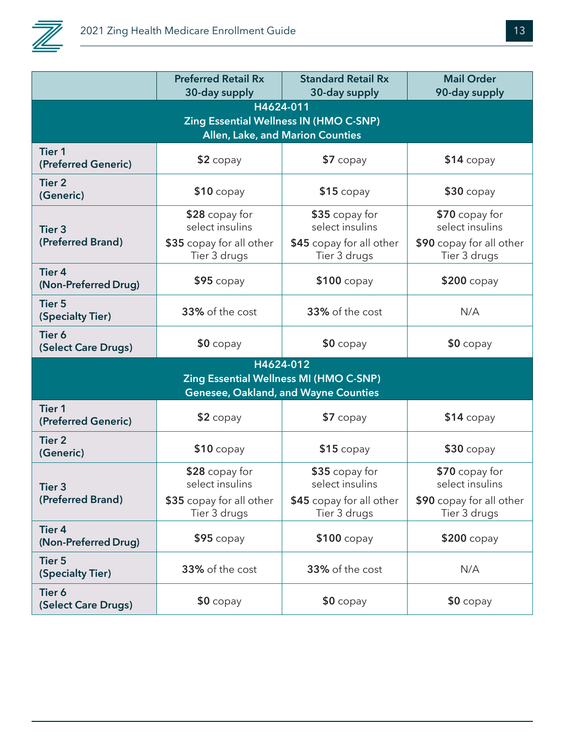

|                                       | <b>Preferred Retail Rx</b>               | <b>Standard Retail Rx</b>                | <b>Mail Order</b>                        |  |
|---------------------------------------|------------------------------------------|------------------------------------------|------------------------------------------|--|
|                                       | 30-day supply                            | 30-day supply                            | 90-day supply                            |  |
| H4624-011                             |                                          |                                          |                                          |  |
|                                       |                                          | Zing Essential Wellness IN (HMO C-SNP)   |                                          |  |
|                                       |                                          | Allen, Lake, and Marion Counties         |                                          |  |
| <b>Tier 1</b><br>(Preferred Generic)  | $$2$ copay                               | $$7$ copay                               | $$14$ copay                              |  |
| <b>Tier 2</b><br>(Generic)            | $$10$ copay                              | $$15$ copay                              | $$30$ copay                              |  |
| Tier <sub>3</sub>                     | \$28 copay for<br>select insulins        | \$35 copay for<br>select insulins        | \$70 copay for<br>select insulins        |  |
| (Preferred Brand)                     | \$35 copay for all other<br>Tier 3 drugs | \$45 copay for all other<br>Tier 3 drugs | \$90 copay for all other<br>Tier 3 drugs |  |
| <b>Tier 4</b><br>(Non-Preferred Drug) | $$95$ copay                              | \$100 copay                              | \$200 copay                              |  |
| <b>Tier 5</b><br>(Specialty Tier)     | 33% of the cost                          | 33% of the cost                          | N/A                                      |  |
| Tier 6<br>(Select Care Drugs)         | $$0$ copay                               | $$0$ copay                               | $$0$ copay                               |  |
|                                       |                                          | H4624-012                                |                                          |  |
|                                       |                                          | Zing Essential Wellness MI (HMO C-SNP)   |                                          |  |
|                                       |                                          | Genesee, Oakland, and Wayne Counties     |                                          |  |
| <b>Tier 1</b><br>(Preferred Generic)  | $$2$ copay                               | \$7 copay                                | $$14$ copay                              |  |
| <b>Tier 2</b><br>(Generic)            | $$10$ copay                              | $$15$ copay                              | <b>\$30 copay</b>                        |  |
| Tier <sub>3</sub>                     | \$28 copay for<br>select insulins        | \$35 copay for<br>select insulins        | \$70 copay for<br>select insulins        |  |
| (Preferred Brand)                     | \$35 copay for all other<br>Tier 3 drugs | \$45 copay for all other<br>Tier 3 drugs | \$90 copay for all other<br>Tier 3 drugs |  |
| <b>Tier 4</b><br>(Non-Preferred Drug) | $$95$ copay                              | \$100 copay                              | $$200$ copay                             |  |
| <b>Tier 5</b><br>(Specialty Tier)     | 33% of the cost                          | 33% of the cost                          | N/A                                      |  |
| Tier 6<br>(Select Care Drugs)         | $$0$ copay                               | $$0$ copay                               | $$0$ copay                               |  |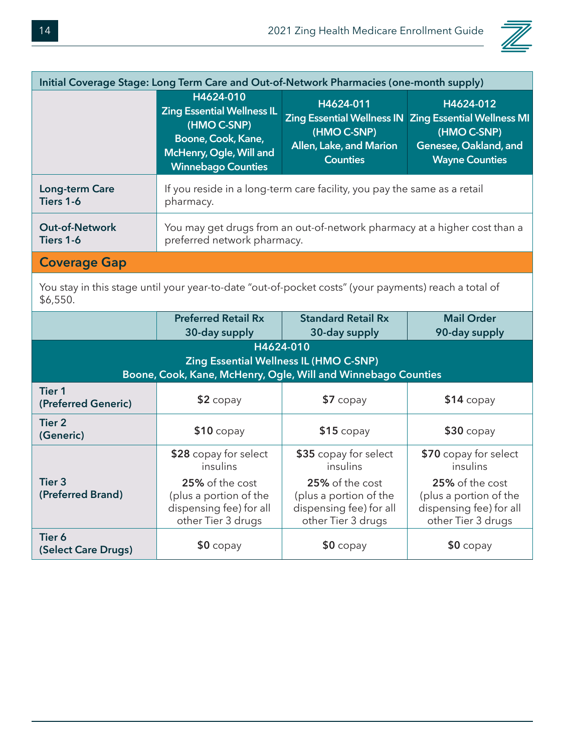

| Initial Coverage Stage: Long Term Care and Out-of-Network Pharmacies (one-month supply) |                                                                                                                                             |                                                                                                             |                                                                                                                 |  |
|-----------------------------------------------------------------------------------------|---------------------------------------------------------------------------------------------------------------------------------------------|-------------------------------------------------------------------------------------------------------------|-----------------------------------------------------------------------------------------------------------------|--|
|                                                                                         | H4624-010<br><b>Zing Essential Wellness IL</b><br>(HMO C-SNP)<br>Boone, Cook, Kane,<br>McHenry, Ogle, Will and<br><b>Winnebago Counties</b> | H4624-011<br><b>Zing Essential Wellness IN</b><br>(HMO C-SNP)<br>Allen, Lake, and Marion<br><b>Counties</b> | H4624-012<br><b>Zing Essential Wellness MI</b><br>(HMO C-SNP)<br>Genesee, Oakland, and<br><b>Wayne Counties</b> |  |
| Long-term Care<br>Tiers 1-6                                                             | If you reside in a long-term care facility, you pay the same as a retail<br>pharmacy.                                                       |                                                                                                             |                                                                                                                 |  |
| <b>Out-of-Network</b><br>Tiers 1-6                                                      | You may get drugs from an out-of-network pharmacy at a higher cost than a<br>preferred network pharmacy.                                    |                                                                                                             |                                                                                                                 |  |
| <b>Coverage Gap</b>                                                                     |                                                                                                                                             |                                                                                                             |                                                                                                                 |  |

You stay in this stage until your year-to-date "out-of-pocket costs" (your payments) reach a total of \$6,550.

|                                                                                                                             | <b>Preferred Retail Rx</b><br>30-day supply                                                                                     | <b>Standard Retail Rx</b><br>30-day supply                                                                                      | <b>Mail Order</b><br>90-day supply                                                                                              |  |
|-----------------------------------------------------------------------------------------------------------------------------|---------------------------------------------------------------------------------------------------------------------------------|---------------------------------------------------------------------------------------------------------------------------------|---------------------------------------------------------------------------------------------------------------------------------|--|
| H4624-010<br><b>Zing Essential Wellness IL (HMO C-SNP)</b><br>Boone, Cook, Kane, McHenry, Ogle, Will and Winnebago Counties |                                                                                                                                 |                                                                                                                                 |                                                                                                                                 |  |
| <b>Tier 1</b><br>(Preferred Generic)                                                                                        | $$2$ copay                                                                                                                      | $$7$ copay                                                                                                                      | $$14$ copay                                                                                                                     |  |
| <b>Tier 2</b><br>(Generic)                                                                                                  | $$10$ copay                                                                                                                     | $$15$ copay                                                                                                                     | $$30$ copay                                                                                                                     |  |
| Tier <sub>3</sub><br>(Preferred Brand)                                                                                      | \$28 copay for select<br>insulins<br>25% of the cost<br>(plus a portion of the<br>dispensing fee) for all<br>other Tier 3 drugs | \$35 copay for select<br>insulins<br>25% of the cost<br>(plus a portion of the<br>dispensing fee) for all<br>other Tier 3 drugs | \$70 copay for select<br>insulins<br>25% of the cost<br>(plus a portion of the<br>dispensing fee) for all<br>other Tier 3 drugs |  |
| Tier 6<br>(Select Care Drugs)                                                                                               | $$0$ copay                                                                                                                      | $$0$ copay                                                                                                                      | $$0$ copay                                                                                                                      |  |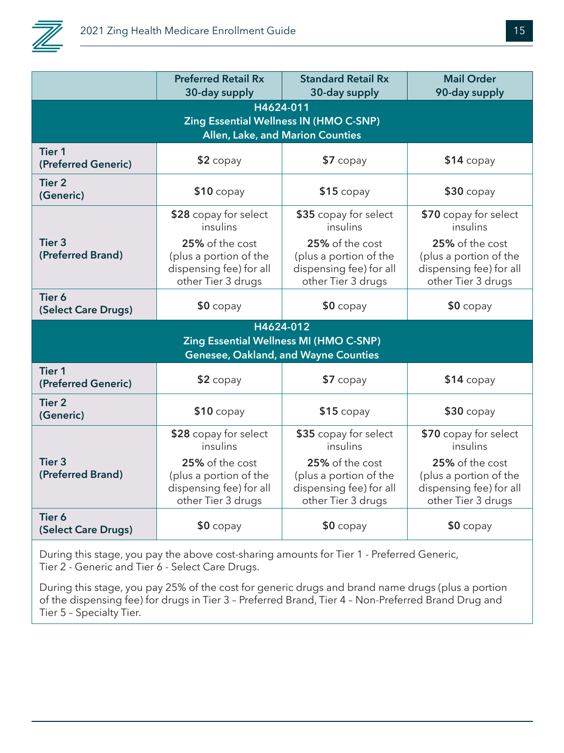

|                                                                                             | <b>Preferred Retail Rx</b><br>30-day supply                                                                                     | <b>Standard Retail Rx</b><br>30-day supply                                                                                      | <b>Mail Order</b><br>90-day supply                                                                                              |  |
|---------------------------------------------------------------------------------------------|---------------------------------------------------------------------------------------------------------------------------------|---------------------------------------------------------------------------------------------------------------------------------|---------------------------------------------------------------------------------------------------------------------------------|--|
| H4624-011<br>Zing Essential Wellness IN (HMO C-SNP)<br>Allen, Lake, and Marion Counties     |                                                                                                                                 |                                                                                                                                 |                                                                                                                                 |  |
| <b>Tier 1</b><br>(Preferred Generic)                                                        | $$2$ copay                                                                                                                      | $$7$ copay                                                                                                                      | \$14 copay                                                                                                                      |  |
| <b>Tier 2</b><br>(Generic)                                                                  | $$10$ copay                                                                                                                     | $$15$ copay                                                                                                                     | $$30$ copay                                                                                                                     |  |
| <b>Tier 3</b><br>(Preferred Brand)                                                          | \$28 copay for select<br>insulins<br>25% of the cost<br>(plus a portion of the<br>dispensing fee) for all<br>other Tier 3 drugs | \$35 copay for select<br>insulins<br>25% of the cost<br>(plus a portion of the<br>dispensing fee) for all<br>other Tier 3 drugs | \$70 copay for select<br>insulins<br>25% of the cost<br>(plus a portion of the<br>dispensing fee) for all<br>other Tier 3 drugs |  |
| Tier 6<br>(Select Care Drugs)                                                               | $$0$ copay                                                                                                                      | $$0$ copay                                                                                                                      | $$0$ copay                                                                                                                      |  |
| H4624-012<br>Zing Essential Wellness MI (HMO C-SNP)<br>Genesee, Oakland, and Wayne Counties |                                                                                                                                 |                                                                                                                                 |                                                                                                                                 |  |
| <b>Tier 1</b><br>(Preferred Generic)                                                        | $$2$ copay                                                                                                                      | $$7$ copay                                                                                                                      | \$14 copay                                                                                                                      |  |
| <b>Tier 2</b><br>(Generic)                                                                  | $$10$ copay                                                                                                                     | $$15$ copay                                                                                                                     | $$30$ copay                                                                                                                     |  |
| Tier 3<br>(Preferred Brand)                                                                 | \$28 copay for select<br>insulins<br>25% of the cost<br>(plus a portion of the<br>dispensing fee) for all<br>other Tier 3 drugs | \$35 copay for select<br>insulins<br>25% of the cost<br>(plus a portion of the<br>dispensing fee) for all<br>other Tier 3 drugs | \$70 copay for select<br>insulins<br>25% of the cost<br>(plus a portion of the<br>dispensing fee) for all<br>other Tier 3 drugs |  |
| Tier 6<br>(Select Care Drugs)                                                               | $$0$ copay                                                                                                                      | $$0$ copay                                                                                                                      | $$0$ copay                                                                                                                      |  |

During this stage, you pay the above cost-sharing amounts for Tier 1 - Preferred Generic, Tier 2 - Generic and Tier 6 - Select Care Drugs.

During this stage, you pay 25% of the cost for generic drugs and brand name drugs (plus a portion of the dispensing fee) for drugs in Tier 3 – Preferred Brand, Tier 4 – Non-Preferred Brand Drug and Tier 5 – Specialty Tier.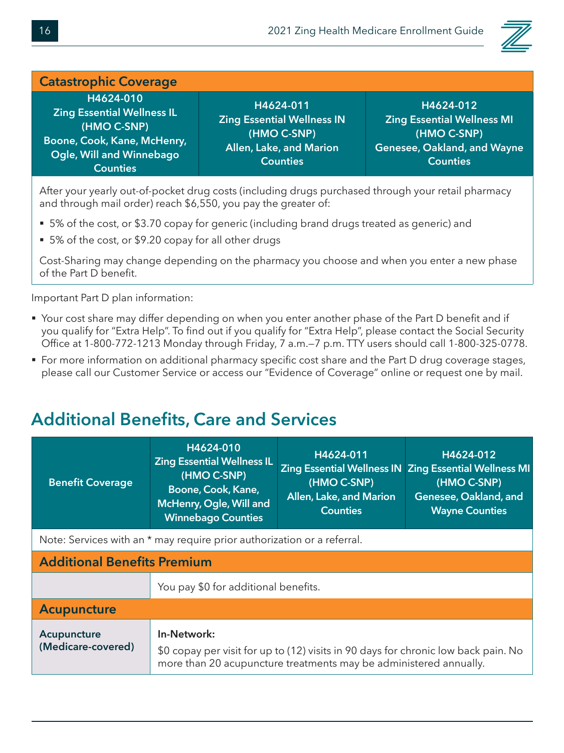

#### **Catastrophic Coverage H4624-010 Zing Essential Wellness IL (HMO C-SNP) Boone, Cook, Kane, McHenry, Ogle, Will and Winnebago Counties H4624-011 Zing Essential Wellness IN (HMO C-SNP) Allen, Lake, and Marion Counties H4624-012 Zing Essential Wellness MI (HMO C-SNP) Genesee, Oakland, and Wayne Counties**

After your yearly out-of-pocket drug costs (including drugs purchased through your retail pharmacy and through mail order) reach \$6,550, you pay the greater of:

- 5% of the cost, or \$3.70 copay for generic (including brand drugs treated as generic) and
- 5% of the cost, or \$9.20 copay for all other drugs

Cost-Sharing may change depending on the pharmacy you choose and when you enter a new phase of the Part D benefit.

Important Part D plan information:

- Your cost share may differ depending on when you enter another phase of the Part D benefit and if you qualify for "Extra Help". To find out if you qualify for "Extra Help", please contact the Social Security Office at 1-800-772-1213 Monday through Friday, 7 a.m.—7 p.m. TTY users should call 1-800-325-0778.
- For more information on additional pharmacy specific cost share and the Part D drug coverage stages, please call our Customer Service or access our "Evidence of Coverage" online or request one by mail.

#### **Additional Benefits, Care and Services**

| <b>Benefit Coverage</b>                                                 | H4624-010<br><b>Zing Essential Wellness IL</b><br>(HMO C-SNP)<br>Boone, Cook, Kane,<br>McHenry, Ogle, Will and<br><b>Winnebago Counties</b> | H4624-011<br>(HMO C-SNP)<br>Allen, Lake, and Marion<br><b>Counties</b> | H4624-012<br>Zing Essential Wellness IN Zing Essential Wellness MI<br>(HMO C-SNP)<br>Genesee, Oakland, and<br><b>Wayne Counties</b> |
|-------------------------------------------------------------------------|---------------------------------------------------------------------------------------------------------------------------------------------|------------------------------------------------------------------------|-------------------------------------------------------------------------------------------------------------------------------------|
| Note: Services with an * may require prior authorization or a referral. |                                                                                                                                             |                                                                        |                                                                                                                                     |
| <b>Additional Benefits Premium</b>                                      |                                                                                                                                             |                                                                        |                                                                                                                                     |

| <b>Additional Defierts Fieldingli</b> |                                                                                                                                                                        |  |  |  |
|---------------------------------------|------------------------------------------------------------------------------------------------------------------------------------------------------------------------|--|--|--|
|                                       | You pay \$0 for additional benefits.                                                                                                                                   |  |  |  |
| <b>Acupuncture</b>                    |                                                                                                                                                                        |  |  |  |
| Acupuncture<br>(Medicare-covered)     | In-Network:<br>\$0 copay per visit for up to (12) visits in 90 days for chronic low back pain. No<br>more than 20 acupuncture treatments may be administered annually. |  |  |  |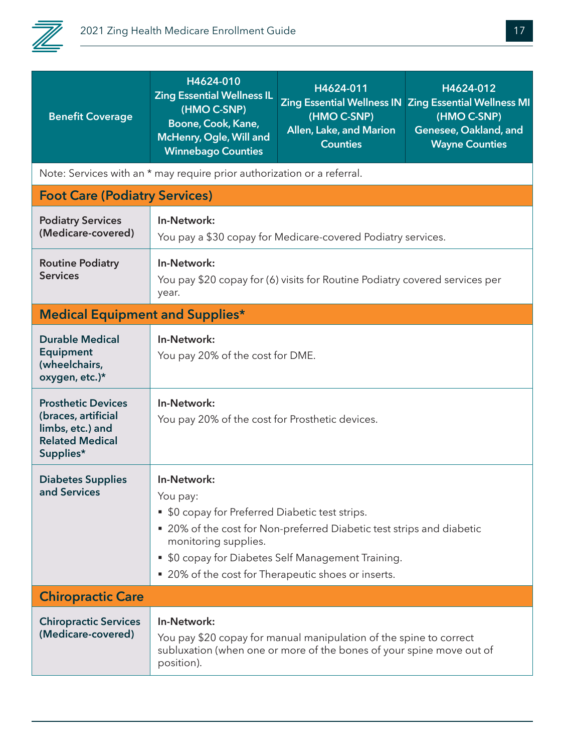

| <b>Benefit Coverage</b>                                                                                     | H4624-010<br><b>Zing Essential Wellness IL</b><br>(HMO C-SNP)<br>Boone, Cook, Kane,<br>McHenry, Ogle, Will and<br><b>Winnebago Counties</b>                                                                                                                                              | H4624-011<br>(HMO C-SNP)<br>Allen, Lake, and Marion<br><b>Counties</b> | H4624-012<br>Zing Essential Wellness IN Zing Essential Wellness MI<br>(HMO C-SNP)<br>Genesee, Oakland, and<br><b>Wayne Counties</b> |  |
|-------------------------------------------------------------------------------------------------------------|------------------------------------------------------------------------------------------------------------------------------------------------------------------------------------------------------------------------------------------------------------------------------------------|------------------------------------------------------------------------|-------------------------------------------------------------------------------------------------------------------------------------|--|
|                                                                                                             | Note: Services with an * may require prior authorization or a referral.                                                                                                                                                                                                                  |                                                                        |                                                                                                                                     |  |
| <b>Foot Care (Podiatry Services)</b>                                                                        |                                                                                                                                                                                                                                                                                          |                                                                        |                                                                                                                                     |  |
| <b>Podiatry Services</b><br>(Medicare-covered)                                                              | In-Network:<br>You pay a \$30 copay for Medicare-covered Podiatry services.                                                                                                                                                                                                              |                                                                        |                                                                                                                                     |  |
| <b>Routine Podiatry</b><br><b>Services</b>                                                                  | In-Network:<br>You pay \$20 copay for (6) visits for Routine Podiatry covered services per<br>year.                                                                                                                                                                                      |                                                                        |                                                                                                                                     |  |
| <b>Medical Equipment and Supplies*</b>                                                                      |                                                                                                                                                                                                                                                                                          |                                                                        |                                                                                                                                     |  |
| <b>Durable Medical</b><br><b>Equipment</b><br>(wheelchairs,<br>oxygen, etc.)*                               | In-Network:<br>You pay 20% of the cost for DME.                                                                                                                                                                                                                                          |                                                                        |                                                                                                                                     |  |
| <b>Prosthetic Devices</b><br>(braces, artificial<br>limbs, etc.) and<br><b>Related Medical</b><br>Supplies* | In-Network:<br>You pay 20% of the cost for Prosthetic devices.                                                                                                                                                                                                                           |                                                                        |                                                                                                                                     |  |
| <b>Diabetes Supplies</b><br>and Services                                                                    | In-Network:<br>You pay:<br>• \$0 copay for Preferred Diabetic test strips.<br>■ 20% of the cost for Non-preferred Diabetic test strips and diabetic<br>monitoring supplies.<br>• \$0 copay for Diabetes Self Management Training.<br>■ 20% of the cost for Therapeutic shoes or inserts. |                                                                        |                                                                                                                                     |  |
| <b>Chiropractic Care</b>                                                                                    |                                                                                                                                                                                                                                                                                          |                                                                        |                                                                                                                                     |  |
| <b>Chiropractic Services</b><br>(Medicare-covered)                                                          | In-Network:<br>You pay \$20 copay for manual manipulation of the spine to correct<br>subluxation (when one or more of the bones of your spine move out of<br>position).                                                                                                                  |                                                                        |                                                                                                                                     |  |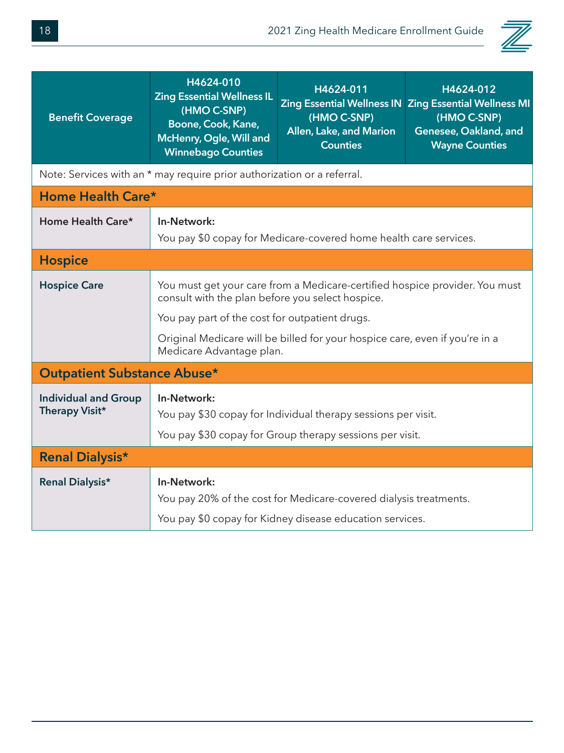

| <b>Benefit Coverage</b>                                                 | H4624-010<br><b>Zing Essential Wellness IL</b><br>(HMO C-SNP)<br>Boone, Cook, Kane,<br>McHenry, Ogle, Will and<br><b>Winnebago Counties</b> | H4624-011<br>(HMO C-SNP)<br>Allen, Lake, and Marion<br><b>Counties</b>                                                        | H4624-012<br>Zing Essential Wellness IN Zing Essential Wellness MI<br>(HMO C-SNP)<br>Genesee, Oakland, and<br><b>Wayne Counties</b> |  |
|-------------------------------------------------------------------------|---------------------------------------------------------------------------------------------------------------------------------------------|-------------------------------------------------------------------------------------------------------------------------------|-------------------------------------------------------------------------------------------------------------------------------------|--|
| Note: Services with an * may require prior authorization or a referral. |                                                                                                                                             |                                                                                                                               |                                                                                                                                     |  |
| Home Health Care*                                                       |                                                                                                                                             |                                                                                                                               |                                                                                                                                     |  |
| Home Health Care*                                                       | In-Network:<br>You pay \$0 copay for Medicare-covered home health care services.                                                            |                                                                                                                               |                                                                                                                                     |  |
| <b>Hospice</b>                                                          |                                                                                                                                             |                                                                                                                               |                                                                                                                                     |  |
| <b>Hospice Care</b>                                                     | You must get your care from a Medicare-certified hospice provider. You must<br>consult with the plan before you select hospice.             |                                                                                                                               |                                                                                                                                     |  |
|                                                                         | You pay part of the cost for outpatient drugs.                                                                                              |                                                                                                                               |                                                                                                                                     |  |
|                                                                         | Original Medicare will be billed for your hospice care, even if you're in a<br>Medicare Advantage plan.                                     |                                                                                                                               |                                                                                                                                     |  |
| <b>Outpatient Substance Abuse*</b>                                      |                                                                                                                                             |                                                                                                                               |                                                                                                                                     |  |
| <b>Individual and Group</b><br>Therapy Visit*                           | In-Network:<br>You pay \$30 copay for Individual therapy sessions per visit.<br>You pay \$30 copay for Group therapy sessions per visit.    |                                                                                                                               |                                                                                                                                     |  |
| <b>Renal Dialysis*</b>                                                  |                                                                                                                                             |                                                                                                                               |                                                                                                                                     |  |
| <b>Renal Dialysis*</b>                                                  | In-Network:                                                                                                                                 | You pay 20% of the cost for Medicare-covered dialysis treatments.<br>You pay \$0 copay for Kidney disease education services. |                                                                                                                                     |  |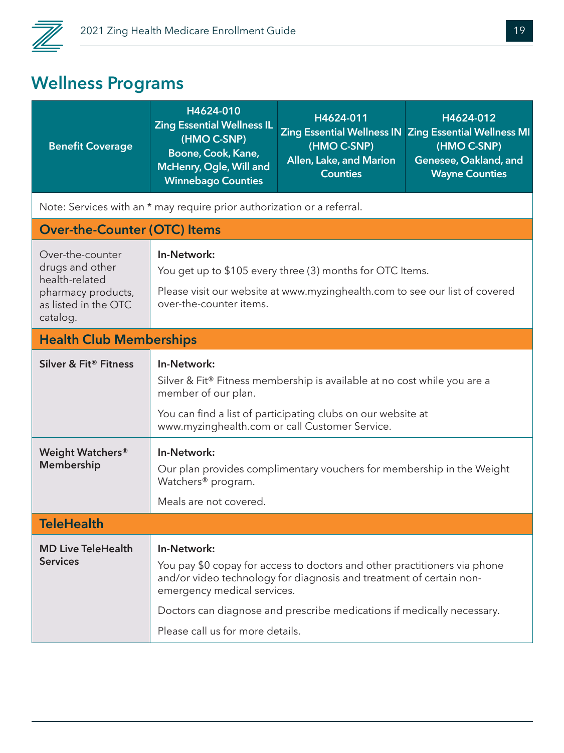

## **Wellness Programs**

| <b>Benefit Coverage</b>                                                                                         | H4624-010<br><b>Zing Essential Wellness IL</b><br>(HMO C-SNP)<br>Boone, Cook, Kane,<br>McHenry, Ogle, Will and<br><b>Winnebago Counties</b>                                                                                      | H4624-011<br>(HMO C-SNP)<br>Allen, Lake, and Marion<br><b>Counties</b>                                                                                                                                                     | H4624-012<br>Zing Essential Wellness IN Zing Essential Wellness MI<br>(HMO C-SNP)<br>Genesee, Oakland, and<br><b>Wayne Counties</b> |
|-----------------------------------------------------------------------------------------------------------------|----------------------------------------------------------------------------------------------------------------------------------------------------------------------------------------------------------------------------------|----------------------------------------------------------------------------------------------------------------------------------------------------------------------------------------------------------------------------|-------------------------------------------------------------------------------------------------------------------------------------|
|                                                                                                                 | Note: Services with an * may require prior authorization or a referral.                                                                                                                                                          |                                                                                                                                                                                                                            |                                                                                                                                     |
| <b>Over-the-Counter (OTC) Items</b>                                                                             |                                                                                                                                                                                                                                  |                                                                                                                                                                                                                            |                                                                                                                                     |
| Over-the-counter<br>drugs and other<br>health-related<br>pharmacy products,<br>as listed in the OTC<br>catalog. | In-Network:<br>You get up to \$105 every three (3) months for OTC Items.<br>Please visit our website at www.myzinghealth.com to see our list of covered<br>over-the-counter items.                                               |                                                                                                                                                                                                                            |                                                                                                                                     |
| <b>Health Club Memberships</b>                                                                                  |                                                                                                                                                                                                                                  |                                                                                                                                                                                                                            |                                                                                                                                     |
| Silver & Fit® Fitness                                                                                           | In-Network:<br>Silver & Fit® Fitness membership is available at no cost while you are a<br>member of our plan.<br>You can find a list of participating clubs on our website at<br>www.myzinghealth.com or call Customer Service. |                                                                                                                                                                                                                            |                                                                                                                                     |
| Weight Watchers <sup>®</sup><br>Membership                                                                      | In-Network:<br>Our plan provides complimentary vouchers for membership in the Weight<br>Watchers <sup>®</sup> program.<br>Meals are not covered.                                                                                 |                                                                                                                                                                                                                            |                                                                                                                                     |
| <b>TeleHealth</b>                                                                                               |                                                                                                                                                                                                                                  |                                                                                                                                                                                                                            |                                                                                                                                     |
| <b>MD Live TeleHealth</b><br><b>Services</b>                                                                    | In-Network:<br>emergency medical services.<br>Please call us for more details.                                                                                                                                                   | You pay \$0 copay for access to doctors and other practitioners via phone<br>and/or video technology for diagnosis and treatment of certain non-<br>Doctors can diagnose and prescribe medications if medically necessary. |                                                                                                                                     |